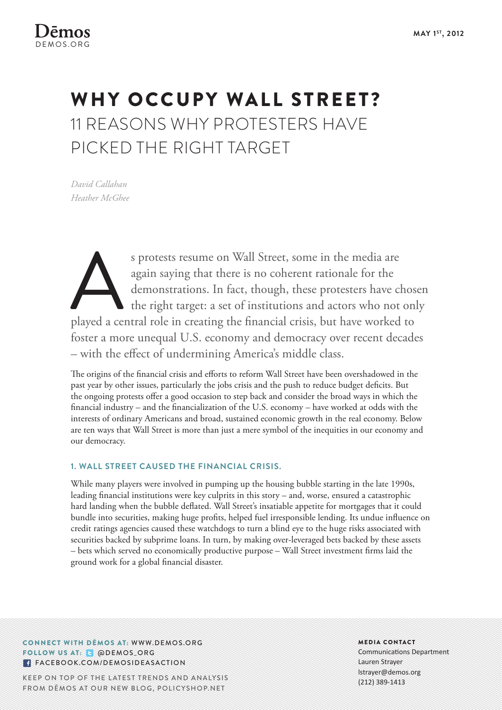# WHY OCCUPY WALL STREET? 11 Reasons Why Protesters Have Picked the Right Target

*David Callahan Heather McGhee*

s protests resume on Wall Street, some in the media are again saying that there is no coherent rationale for the demonstrations. In fact, though, these protesters have chose the right target: a set of institutions and acto again saying that there is no coherent rationale for the demonstrations. In fact, though, these protesters have chosen the right target: a set of institutions and actors who not only foster a more unequal U.S. economy and democracy over recent decades – with the effect of undermining America's middle class.

The origins of the financial crisis and efforts to reform Wall Street have been overshadowed in the past year by other issues, particularly the jobs crisis and the push to reduce budget deficits. But the ongoing protests offer a good occasion to step back and consider the broad ways in which the financial industry – and the financialization of the U.S. economy – have worked at odds with the interests of ordinary Americans and broad, sustained economic growth in the real economy. Below are ten ways that Wall Street is more than just a mere symbol of the inequities in our economy and our democracy.

# **1. Wall Street Caused the Financial Crisis.**

While many players were involved in pumping up the housing bubble starting in the late 1990s, leading financial institutions were key culprits in this story – and, worse, ensured a catastrophic hard landing when the bubble deflated. Wall Street's insatiable appetite for mortgages that it could bundle into securities, making huge profits, helped fuel irresponsible lending. Its undue influence on credit ratings agencies caused these watchdogs to turn a blind eye to the huge risks associated with securities backed by subprime loans. In turn, by making over-leveraged bets backed by these assets – bets which served no economically productive purpose – Wall Street investment firms laid the ground work for a global financial disaster.

connect with dēmos at: www.demos.org FOLLOW US AT: @DEMOS\_ORG **FACEBOOK.COM/DEMOSIDEASACTION** 

Keep on top of the latest trends and analysis FROM DĒMOS AT OUR NEW BLOG, POLICYSHOP.NET

Media contact Communications Department Lauren Strayer lstrayer@demos.org (212) 389-1413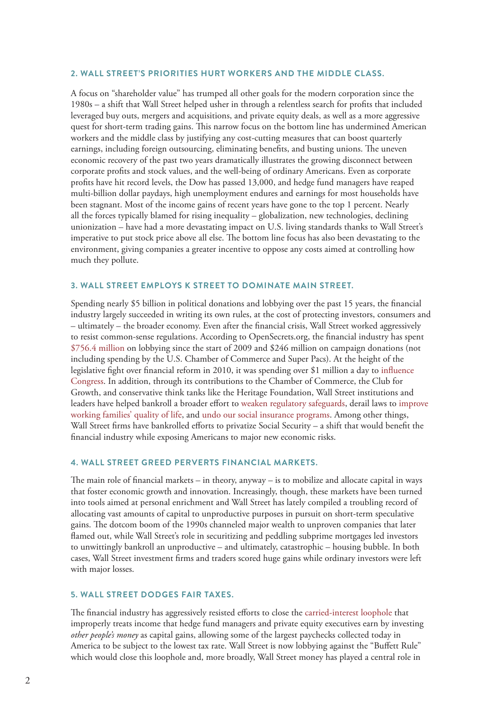#### **2. Wall Street's Priorities Hurt Workers and the Middle Class.**

A focus on "shareholder value" has trumped all other goals for the modern corporation since the 1980s – a shift that Wall Street helped usher in through a relentless search for profits that included leveraged buy outs, mergers and acquisitions, and private equity deals, as well as a more aggressive quest for short-term trading gains. This narrow focus on the bottom line has undermined American workers and the middle class by justifying any cost-cutting measures that can boost quarterly earnings, including foreign outsourcing, eliminating benefits, and busting unions. The uneven economic recovery of the past two years dramatically illustrates the growing disconnect between corporate profits and stock values, and the well-being of ordinary Americans. Even as corporate profits have hit record levels, the Dow has passed 13,000, and hedge fund managers have reaped multi-billion dollar paydays, high unemployment endures and earnings for most households have been stagnant. Most of the income gains of recent years have gone to the top 1 percent. Nearly all the forces typically blamed for rising inequality – globalization, new technologies, declining unionization – have had a more devastating impact on U.S. living standards thanks to Wall Street's imperative to put stock price above all else. The bottom line focus has also been devastating to the environment, giving companies a greater incentive to oppose any costs aimed at controlling how much they pollute.

# **3. Wall Street Employs K Street to Dominate Main Street.**

Spending nearly \$5 billion in political donations and lobbying over the past 15 years, the financial industry largely succeeded in writing its own rules, at the cost of protecting investors, consumers and – ultimately – the broader economy. Even after the financial crisis, Wall Street worked aggressively to resist common-sense regulations. According to OpenSecrets.org, the financial industry has spent [\\$756.4 million](http://www.opensecrets.org/lobby/top.php?indexType=c) on lobbying since the start of 2009 and \$246 million on campaign donations (not including spending by the U.S. Chamber of Commerce and Super Pacs). At the height of the legislative fight over financial reform in 2010, it was spending over \$1 million a day to [influence](http://www.opensecrets.org/lobby/indus.php?id=F&year=a)  [Congress.](http://www.opensecrets.org/lobby/indus.php?id=F&year=a) In addition, through its contributions to the Chamber of Commerce, the Club for Growth, and conservative think tanks like the Heritage Foundation, Wall Street institutions and leaders have helped bankroll a broader effort to [weaken regulatory safeguards](http://www.ombwatch.org/node/11718), derail laws to [improve](http://www.nytimes.com/2009/05/16/health/policy/16sick.html)  [working families' quality of life,](http://www.nytimes.com/2009/05/16/health/policy/16sick.html) and [undo our social insurance programs](http://www.heritage.org/research/reports/2011/04/how-to-transform-medicare-into-a-modern-premium-support-system). Among other things, Wall Street firms have bankrolled efforts to privatize Social Security - a shift that would benefit the financial industry while exposing Americans to major new economic risks.

# **4. Wall Street Greed Perverts Financial Markets.**

The main role of financial markets – in theory, anyway – is to mobilize and allocate capital in ways that foster economic growth and innovation. Increasingly, though, these markets have been turned into tools aimed at personal enrichment and Wall Street has lately compiled a troubling record of allocating vast amounts of capital to unproductive purposes in pursuit on short-term speculative gains. The dotcom boom of the 1990s channeled major wealth to unproven companies that later flamed out, while Wall Street's role in securitizing and peddling subprime mortgages led investors to unwittingly bankroll an unproductive – and ultimately, catastrophic – housing bubble. In both cases, Wall Street investment firms and traders scored huge gains while ordinary investors were left with major losses.

# **5. Wall Street Dodges Fair Taxes.**

The financial industry has aggressively resisted efforts to close the [carried-interest loophole](http://www.ctj.org/taxjusticedigest/archive/2010/05/new_ctj_report_will_the_carrie.php) that improperly treats income that hedge fund managers and private equity executives earn by investing *other people's money* as capital gains, allowing some of the largest paychecks collected today in America to be subject to the lowest tax rate. Wall Street is now lobbying against the "Buffett Rule" which would close this loophole and, more broadly, Wall Street money has played a central role in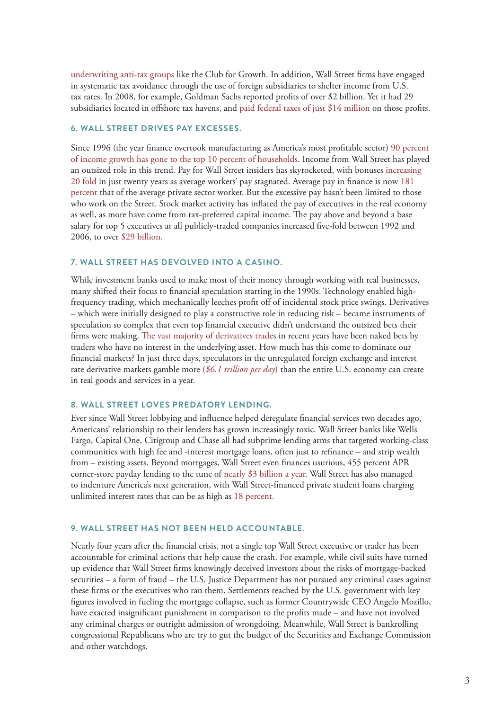[underwriting anti-tax groups](http://thinkprogress.org/politics/2010/06/26/104312/clubforgrowth-radical-sucess/) like the Club for Growth. In addition, Wall Street firms have engaged in systematic tax avoidance through the use of foreign subsidiaries to shelter income from U.S. tax rates. In 2008, for example, Goldman Sachs reported profits of over \$2 billion. Yet it had 29 subsidiaries located in offshore tax havens, and [paid federal taxes of just \\$14 million](http://businessagainsttaxhavens.org/wp-content/uploads/2010/07/TaxHaven.pdf) on those profits.

# **6. Wall Street Drives Pay Excesses.**

Since 1996 (the year finance overtook manufacturing as America's most profitable sector) [90 percent](http://www.stateofworkingamerica.org/pages/interactive#/?start=1996&end=2008)  [of income growth has gone to the top 10 percent of h](http://www.stateofworkingamerica.org/pages/interactive#/?start=1996&end=2008)ouseholds. Income from Wall Street has played an outsized role in this trend. Pay for Wall Street insiders has skyrocketed, with bonuses [increasing](http://www.osc.state.ny.us/press/releases/feb11/bonus_chart_2010.pdf)  [20 fold](http://www.osc.state.ny.us/press/releases/feb11/bonus_chart_2010.pdf) in just twenty years as average workers' pay stagnated. Average pay in finance is now [181](http://www.washingtonpost.com/opinions/rescuing-america-from-wall-street/2011/10/04/gIQAJGezLL_story.html)  [percent](http://www.washingtonpost.com/opinions/rescuing-america-from-wall-street/2011/10/04/gIQAJGezLL_story.html) that of the average private sector worker. But the excessive pay hasn't been limited to those who work on the Street. Stock market activity has inflated the pay of executives in the real economy as well, as more have come from tax-preferred capital income. The pay above and beyond a base salary for top 5 executives at all publicly-traded companies increased five-fold between 1992 and 2006, to over [\\$29 billion.](http://www.washingtonpost.com/opinions/rescuing-america-from-wall-street/2011/10/04/gIQAJGezLL_story.html)

## **7. Wall Street Has Devolved into a Casino.**

While investment banks used to make most of their money through working with real businesses, many shifted their focus to financial speculation starting in the 1990s. Technology enabled highfrequency trading, which mechanically leeches profit off of incidental stock price swings. Derivatives – which were initially designed to play a constructive role in reducing risk – became instruments of speculation so complex that even top financial executive didn't understand the outsized bets their firms were making. [The vast majority of derivatives trades](http://thinkprogress.org/economy/2010/04/29/173242/clinton-goldman/) in recent years have been naked bets by traders who have no interest in the underlying asset. How much has this come to dominate our financial markets? In just three days, speculators in the unregulated foreign exchange and interest rate derivative markets gamble more (*[\\$6.1 trillion per day](http://www.bis.org/publ/rpfx10.htm)*) than the entire U.S. economy can create in real goods and services in a year.

#### **8. Wall Street Loves Predatory Lending.**

Ever since Wall Street lobbying and influence helped deregulate financial services two decades ago, Americans' relationship to their lenders has grown increasingly toxic. Wall Street banks like Wells Fargo, Capital One, Citigroup and Chase all had subprime lending arms that targeted working-class communities with high fee and -interest mortgage loans, often just to refinance – and strip wealth from – existing assets. Beyond mortgages, Wall Street even finances usurious, 455 percent APR corner-store payday lending to the tune of [nearly \\$3 billion a year.](http://showdowninamerica.org/files/payday-final-091410.pdf) Wall Street has also managed to indenture America's next generation, with Wall Street-financed private student loans charging unlimited interest rates that can be as high as [18 percent.](http://projectonstudentdebt.org/files/pub/private_loan_facts_trends.pdf)

#### **9. Wall Street Has Not Been Held Accountable.**

Nearly four years after the financial crisis, not a single top Wall Street executive or trader has been accountable for criminal actions that help cause the crash. For example, while civil suits have turned up evidence that Wall Street firms knowingly deceived investors about the risks of mortgage-backed securities – a form of fraud – the U.S. Justice Department has not pursued any criminal cases against these firms or the executives who ran them. Settlements reached by the U.S. government with key figures involved in fueling the mortgage collapse, such as former Countrywide CEO Angelo Mozillo, have exacted insignificant punishment in comparison to the profits made – and have not involved any criminal charges or outright admission of wrongdoing. Meanwhile, Wall Street is bankrolling congressional Republicans who are try to gut the budget of the Securities and Exchange Commission and other watchdogs.